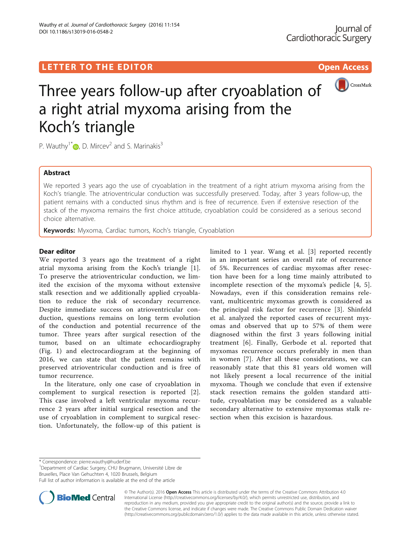

# Three years follow-up after cryoablation of a right atrial myxoma arising from the Koch's triangle

P. Wauthy<sup>1[\\*](http://orcid.org/0000-0002-5565-0719)</sup> $\bullet$ , D. Mircev<sup>2</sup> and S. Marinakis<sup>3</sup>

# Abstract

We reported 3 years ago the use of cryoablation in the treatment of a right atrium myxoma arising from the Koch's triangle. The atrioventricular conduction was successfully preserved. Today, after 3 years follow-up, the patient remains with a conducted sinus rhythm and is free of recurrence. Even if extensive resection of the stack of the myxoma remains the first choice attitude, cryoablation could be considered as a serious second choice alternative.

Keywords: Myxoma, Cardiac tumors, Koch's triangle, Cryoablation

# Dear editor

We reported 3 years ago the treatment of a right atrial myxoma arising from the Koch's triangle [[1](#page-1-0)]. To preserve the atrioventricular conduction, we limited the excision of the myxoma without extensive stalk resection and we additionally applied cryoablation to reduce the risk of secondary recurrence. Despite immediate success on atrioventricular conduction, questions remains on long term evolution of the conduction and potential recurrence of the tumor. Three years after surgical resection of the tumor, based on an ultimate echocardiography (Fig. [1](#page-1-0)) and electrocardiogram at the beginning of 2016, we can state that the patient remains with preserved atrioventricular conduction and is free of tumor recurrence.

In the literature, only one case of cryoablation in complement to surgical resection is reported [[2](#page-1-0)]. This case involved a left ventricular myxoma recurrence 2 years after initial surgical resection and the use of cryoablation in complement to surgical resection. Unfortunately, the follow-up of this patient is

limited to 1 year. Wang et al. [[3\]](#page-1-0) reported recently in an important series an overall rate of recurrence of 5%. Recurrences of cardiac myxomas after resection have been for a long time mainly attributed to incomplete resection of the myxoma's pedicle [[4, 5](#page-1-0)]. Nowadays, even if this consideration remains relevant, multicentric myxomas growth is considered as the principal risk factor for recurrence [[3](#page-1-0)]. Shinfeld et al. analyzed the reported cases of recurrent myxomas and observed that up to 57% of them were diagnosed within the first 3 years following initial treatment [[6\]](#page-1-0). Finally, Gerbode et al. reported that myxomas recurrence occurs preferably in men than in women [\[7](#page-1-0)]. After all these considerations, we can reasonably state that this 81 years old women will not likely present a local recurrence of the initial myxoma. Though we conclude that even if extensive stack resection remains the golden standard attitude, cryoablation may be considered as a valuable secondary alternative to extensive myxomas stalk resection when this excision is hazardous.

<sup>1</sup>Department of Cardiac Surgery, CHU Brugmann, Université Libre de Bruxelles, Place Van Gehuchten 4, 1020 Brussels, Belgium

Full list of author information is available at the end of the article



© The Author(s). 2016 Open Access This article is distributed under the terms of the Creative Commons Attribution 4.0 International License [\(http://creativecommons.org/licenses/by/4.0/](http://creativecommons.org/licenses/by/4.0/)), which permits unrestricted use, distribution, and reproduction in any medium, provided you give appropriate credit to the original author(s) and the source, provide a link to the Creative Commons license, and indicate if changes were made. The Creative Commons Public Domain Dedication waiver [\(http://creativecommons.org/publicdomain/zero/1.0/](http://creativecommons.org/publicdomain/zero/1.0/)) applies to the data made available in this article, unless otherwise stated.

<sup>\*</sup> Correspondence: [pierre.wauthy@huderf.be](mailto:pierre.wauthy@huderf.be) <sup>1</sup>